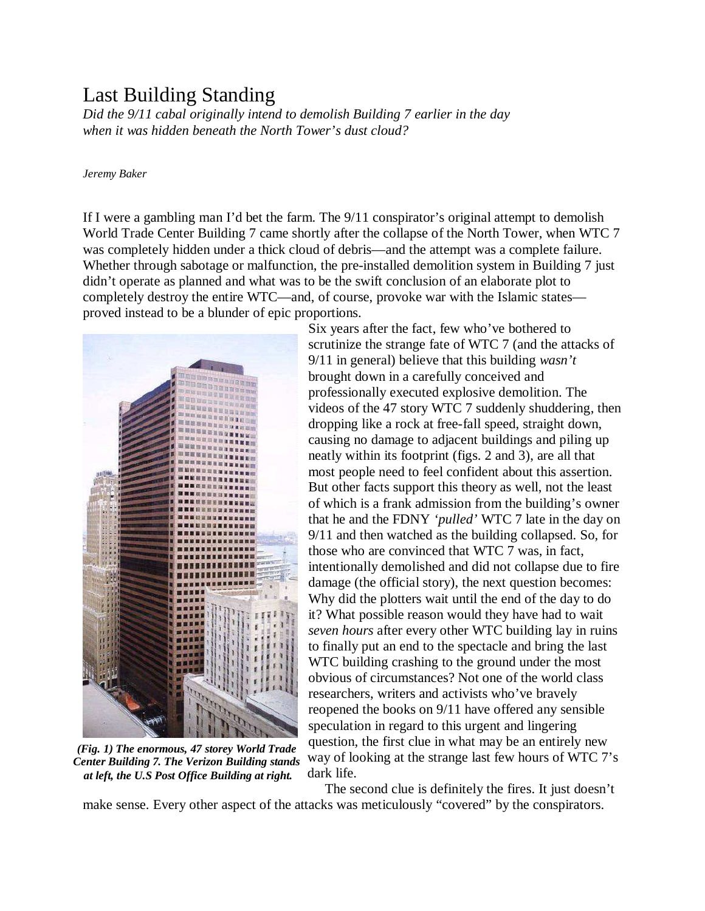## Last Building Standing

*Did the 9/11 cabal originally intend to demolish Building 7 earlier in the day when it was hidden beneath the North Tower's dust cloud?* 

## *Jeremy Baker*

If I were a gambling man I'd bet the farm. The 9/11 conspirator's original attempt to demolish World Trade Center Building 7 came shortly after the collapse of the North Tower, when WTC 7 was completely hidden under a thick cloud of debris—and the attempt was a complete failure. Whether through sabotage or malfunction, the pre-installed demolition system in Building 7 just didn't operate as planned and what was to be the swift conclusion of an elaborate plot to completely destroy the entire WTC—and, of course, provoke war with the Islamic states proved instead to be a blunder of epic proportions.



at left, the U.S Post Office Building at right. dark life. *(Fig. 1) The enormous, 47 storey World Trade Center Building 7. The Verizon Building stands* 

 Six years after the fact, few who've bothered to scrutinize the strange fate of WTC 7 (and the attacks of 9/11 in general) believe that this building *wasn't* brought down in a carefully conceived and professionally executed explosive demolition. The videos of the 47 story WTC 7 suddenly shuddering, then dropping like a rock at free-fall speed, straight down, causing no damage to adjacent buildings and piling up neatly within its footprint (figs. 2 and 3), are all that most people need to feel confident about this assertion. But other facts support this theory as well, not the least of which is a frank admission from the building's owner that he and the FDNY *'pulled'* WTC 7 late in the day on 9/11 and then watched as the building collapsed. So, for those who are convinced that WTC 7 was, in fact, intentionally demolished and did not collapse due to fire damage (the official story), the next question becomes: Why did the plotters wait until the end of the day to do it? What possible reason would they have had to wait *seven hours* after every other WTC building lay in ruins to finally put an end to the spectacle and bring the last WTC building crashing to the ground under the most obvious of circumstances? Not one of the world class researchers, writers and activists who've bravely reopened the books on 9/11 have offered any sensible speculation in regard to this urgent and lingering question, the first clue in what may be an entirely new way of looking at the strange last few hours of WTC 7's

 The second clue is definitely the fires. It just doesn't make sense. Every other aspect of the attacks was meticulously "covered" by the conspirators.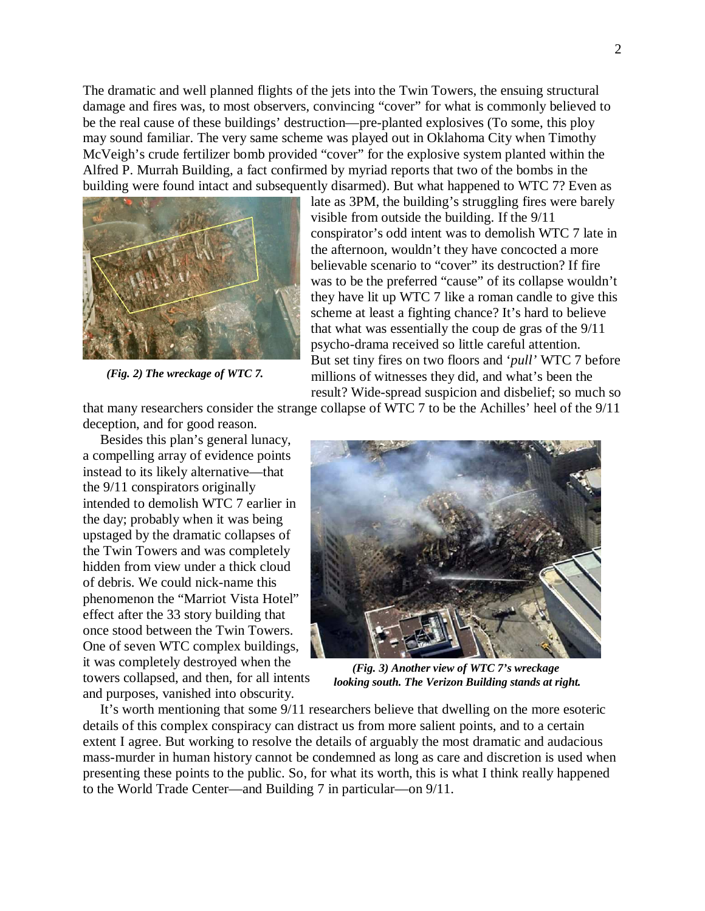The dramatic and well planned flights of the jets into the Twin Towers, the ensuing structural damage and fires was, to most observers, convincing "cover" for what is commonly believed to be the real cause of these buildings' destruction—pre-planted explosives (To some, this ploy may sound familiar. The very same scheme was played out in Oklahoma City when Timothy McVeigh's crude fertilizer bomb provided "cover" for the explosive system planted within the Alfred P. Murrah Building, a fact confirmed by myriad reports that two of the bombs in the building were found intact and subsequently disarmed). But what happened to WTC 7? Even as



*(Fig. 2) The wreckage of WTC 7.* 

late as 3PM, the building's struggling fires were barely visible from outside the building. If the 9/11 conspirator's odd intent was to demolish WTC 7 late in the afternoon, wouldn't they have concocted a more believable scenario to "cover" its destruction? If fire was to be the preferred "cause" of its collapse wouldn't they have lit up WTC 7 like a roman candle to give this scheme at least a fighting chance? It's hard to believe that what was essentially the coup de gras of the 9/11 psycho-drama received so little careful attention. But set tiny fires on two floors and '*pull'* WTC 7 before millions of witnesses they did, and what's been the result? Wide-spread suspicion and disbelief; so much so

that many researchers consider the strange collapse of WTC 7 to be the Achilles' heel of the 9/11

deception, and for good reason. Besides this plan's general lunacy, a compelling array of evidence points instead to its likely alternative—that the 9/11 conspirators originally intended to demolish WTC 7 earlier in the day; probably when it was being upstaged by the dramatic collapses of the Twin Towers and was completely hidden from view under a thick cloud of debris. We could nick-name this phenomenon the "Marriot Vista Hotel" effect after the 33 story building that once stood between the Twin Towers. One of seven WTC complex buildings, it was completely destroyed when the towers collapsed, and then, for all intents and purposes, vanished into obscurity.



*(Fig. 3) Another view of WTC 7's wreckage looking south. The Verizon Building stands at right.* 

 It's worth mentioning that some 9/11 researchers believe that dwelling on the more esoteric details of this complex conspiracy can distract us from more salient points, and to a certain extent I agree. But working to resolve the details of arguably the most dramatic and audacious mass-murder in human history cannot be condemned as long as care and discretion is used when presenting these points to the public. So, for what its worth, this is what I think really happened to the World Trade Center—and Building 7 in particular—on 9/11.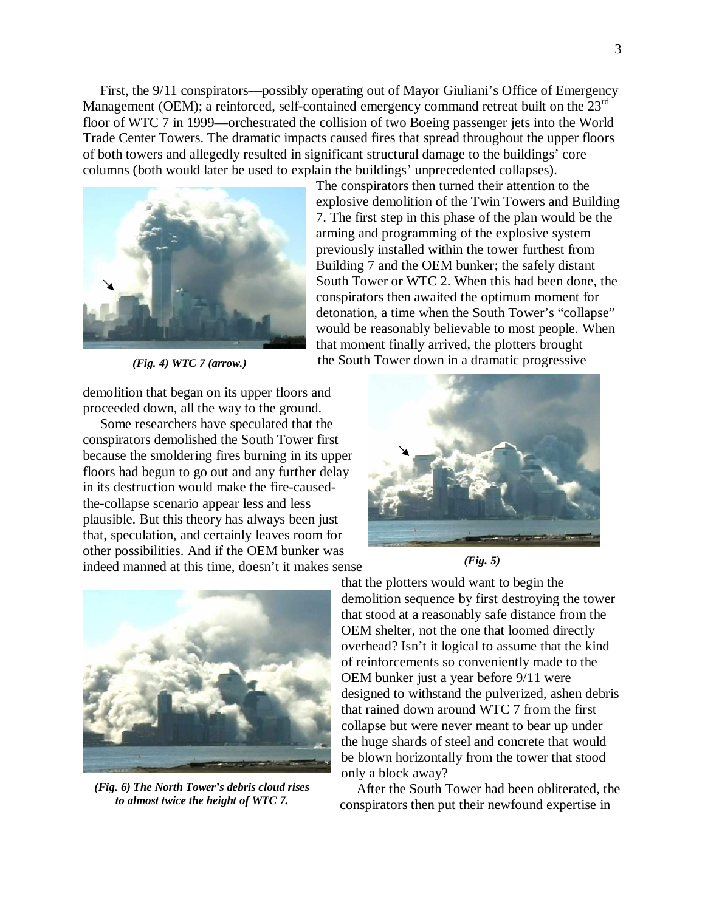First, the 9/11 conspirators—possibly operating out of Mayor Giuliani's Office of Emergency Management (OEM); a reinforced, self-contained emergency command retreat built on the 23<sup>rd</sup> floor of WTC 7 in 1999—orchestrated the collision of two Boeing passenger jets into the World Trade Center Towers. The dramatic impacts caused fires that spread throughout the upper floors of both towers and allegedly resulted in significant structural damage to the buildings' core columns (both would later be used to explain the buildings' unprecedented collapses).



*(Fig. 4) WTC 7 (arrow.)* 

demolition that began on its upper floors and proceeded down, all the way to the ground.

 Some researchers have speculated that the conspirators demolished the South Tower first because the smoldering fires burning in its upper floors had begun to go out and any further delay in its destruction would make the fire-causedthe-collapse scenario appear less and less plausible. But this theory has always been just that, speculation, and certainly leaves room for other possibilities. And if the OEM bunker was indeed manned at this time, doesn't it makes sense



*(Fig. 6) The North Tower's debris cloud rises to almost twice the height of WTC 7.* 

 The conspirators then turned their attention to the explosive demolition of the Twin Towers and Building 7. The first step in this phase of the plan would be the arming and programming of the explosive system previously installed within the tower furthest from Building 7 and the OEM bunker; the safely distant South Tower or WTC 2. When this had been done, the conspirators then awaited the optimum moment for detonation, a time when the South Tower's "collapse" would be reasonably believable to most people. When that moment finally arrived, the plotters brought the South Tower down in a dramatic progressive



*(Fig. 5)* 

that the plotters would want to begin the demolition sequence by first destroying the tower that stood at a reasonably safe distance from the OEM shelter, not the one that loomed directly overhead? Isn't it logical to assume that the kind of reinforcements so conveniently made to the OEM bunker just a year before 9/11 were designed to withstand the pulverized, ashen debris that rained down around WTC 7 from the first collapse but were never meant to bear up under the huge shards of steel and concrete that would be blown horizontally from the tower that stood only a block away?

 After the South Tower had been obliterated, the conspirators then put their newfound expertise in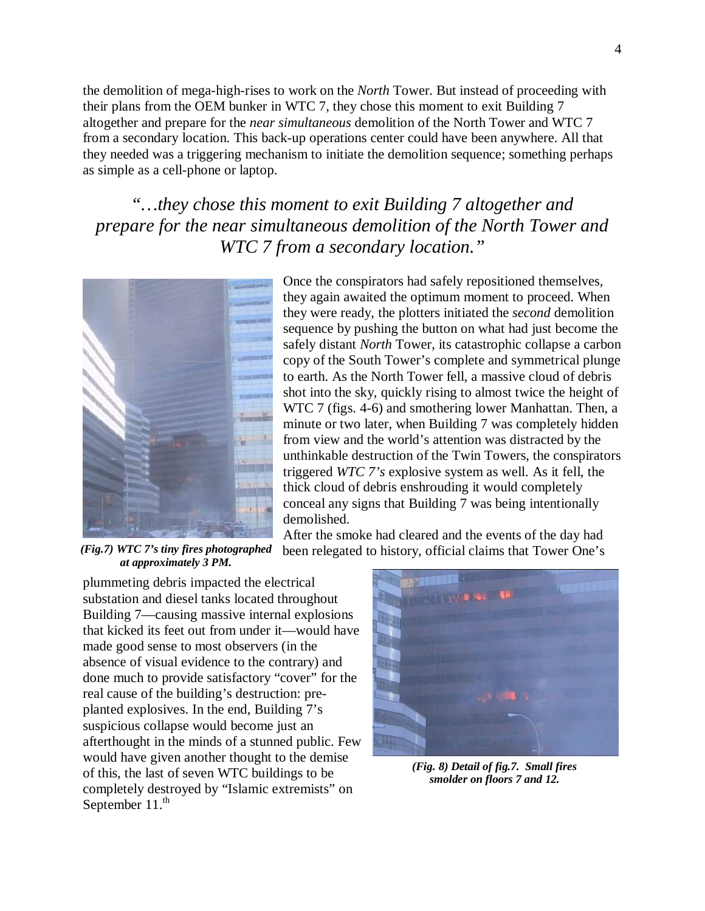the demolition of mega-high-rises to work on the *North* Tower. But instead of proceeding with their plans from the OEM bunker in WTC 7, they chose this moment to exit Building 7 altogether and prepare for the *near simultaneous* demolition of the North Tower and WTC 7 from a secondary location. This back-up operations center could have been anywhere. All that they needed was a triggering mechanism to initiate the demolition sequence; something perhaps as simple as a cell-phone or laptop.

*"…they chose this moment to exit Building 7 altogether and prepare for the near simultaneous demolition of the North Tower and WTC 7 from a secondary location."* 



 Once the conspirators had safely repositioned themselves, they again awaited the optimum moment to proceed. When they were ready, the plotters initiated the *second* demolition sequence by pushing the button on what had just become the safely distant *North* Tower, its catastrophic collapse a carbon copy of the South Tower's complete and symmetrical plunge to earth. As the North Tower fell, a massive cloud of debris shot into the sky, quickly rising to almost twice the height of WTC 7 (figs. 4-6) and smothering lower Manhattan. Then, a minute or two later, when Building 7 was completely hidden from view and the world's attention was distracted by the unthinkable destruction of the Twin Towers, the conspirators triggered *WTC 7's* explosive system as well. As it fell, the thick cloud of debris enshrouding it would completely conceal any signs that Building 7 was being intentionally demolished.

 After the smoke had cleared and the events of the day had been relegated to history, official claims that Tower One's

*(Fig.7) WTC 7's tiny fires photographed at approximately 3 PM.* 

plummeting debris impacted the electrical substation and diesel tanks located throughout Building 7—causing massive internal explosions that kicked its feet out from under it—would have made good sense to most observers (in the absence of visual evidence to the contrary) and done much to provide satisfactory "cover" for the real cause of the building's destruction: preplanted explosives. In the end, Building 7's suspicious collapse would become just an afterthought in the minds of a stunned public. Few would have given another thought to the demise of this, the last of seven WTC buildings to be completely destroyed by "Islamic extremists" on September  $11.^{\text{th}}$ 



*(Fig. 8) Detail of fig.7. Small fires smolder on floors 7 and 12.*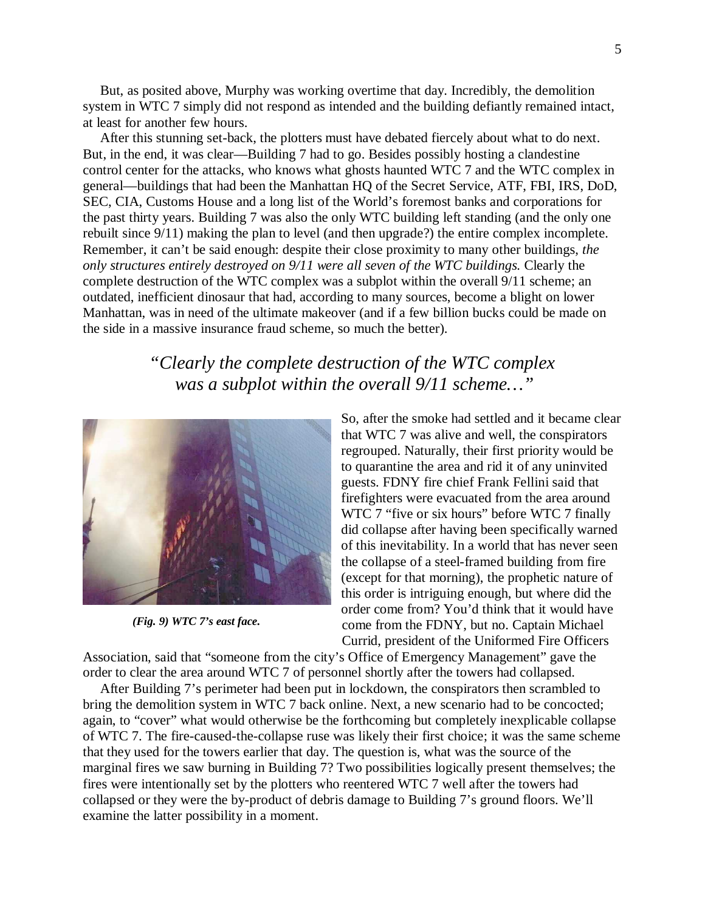But, as posited above, Murphy was working overtime that day. Incredibly, the demolition system in WTC 7 simply did not respond as intended and the building defiantly remained intact, at least for another few hours.

 After this stunning set-back, the plotters must have debated fiercely about what to do next. But, in the end, it was clear—Building 7 had to go. Besides possibly hosting a clandestine control center for the attacks, who knows what ghosts haunted WTC 7 and the WTC complex in general—buildings that had been the Manhattan HQ of the Secret Service, ATF, FBI, IRS, DoD, SEC, CIA, Customs House and a long list of the World's foremost banks and corporations for the past thirty years. Building 7 was also the only WTC building left standing (and the only one rebuilt since 9/11) making the plan to level (and then upgrade?) the entire complex incomplete. Remember, it can't be said enough: despite their close proximity to many other buildings, *the only structures entirely destroyed on 9/11 were all seven of the WTC buildings.* Clearly the complete destruction of the WTC complex was a subplot within the overall 9/11 scheme; an outdated, inefficient dinosaur that had, according to many sources, become a blight on lower Manhattan, was in need of the ultimate makeover (and if a few billion bucks could be made on the side in a massive insurance fraud scheme, so much the better).

> *"Clearly the complete destruction of the WTC complex was a subplot within the overall 9/11 scheme…"*



*(Fig. 9) WTC 7's east face.*

So, after the smoke had settled and it became clear that WTC 7 was alive and well, the conspirators regrouped. Naturally, their first priority would be to quarantine the area and rid it of any uninvited guests. FDNY fire chief Frank Fellini said that firefighters were evacuated from the area around WTC 7 "five or six hours" before WTC 7 finally did collapse after having been specifically warned of this inevitability. In a world that has never seen the collapse of a steel-framed building from fire (except for that morning), the prophetic nature of this order is intriguing enough, but where did the order come from? You'd think that it would have come from the FDNY, but no. Captain Michael Currid, president of the Uniformed Fire Officers

Association, said that "someone from the city's Office of Emergency Management" gave the order to clear the area around WTC 7 of personnel shortly after the towers had collapsed.

 After Building 7's perimeter had been put in lockdown, the conspirators then scrambled to bring the demolition system in WTC 7 back online. Next, a new scenario had to be concocted; again, to "cover" what would otherwise be the forthcoming but completely inexplicable collapse of WTC 7. The fire-caused-the-collapse ruse was likely their first choice; it was the same scheme that they used for the towers earlier that day. The question is, what was the source of the marginal fires we saw burning in Building 7? Two possibilities logically present themselves; the fires were intentionally set by the plotters who reentered WTC 7 well after the towers had collapsed or they were the by-product of debris damage to Building 7's ground floors. We'll examine the latter possibility in a moment.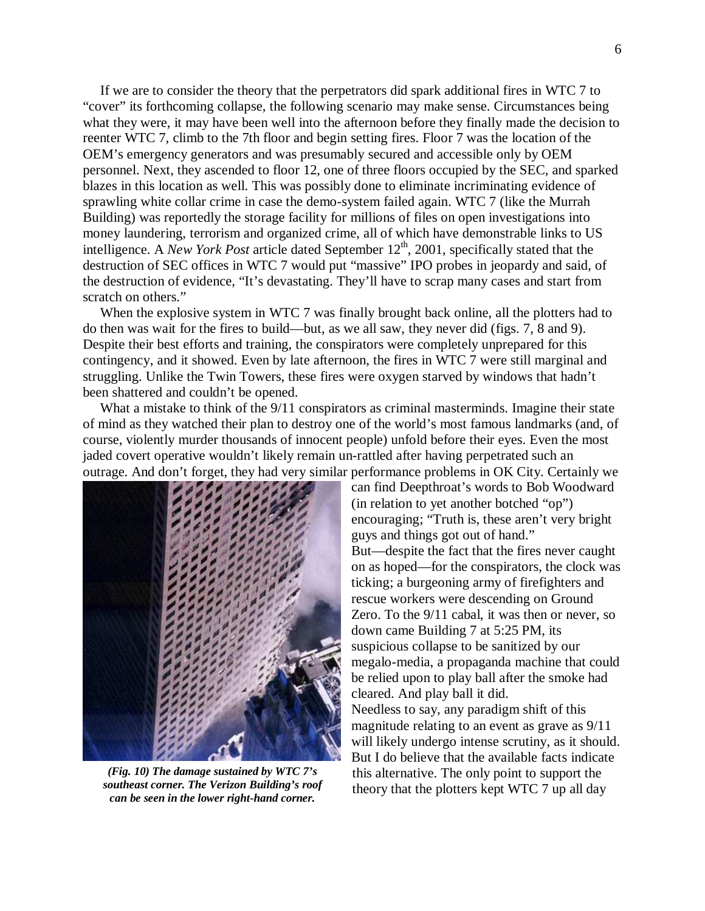If we are to consider the theory that the perpetrators did spark additional fires in WTC 7 to "cover" its forthcoming collapse, the following scenario may make sense. Circumstances being what they were, it may have been well into the afternoon before they finally made the decision to reenter WTC 7, climb to the 7th floor and begin setting fires. Floor 7 was the location of the OEM's emergency generators and was presumably secured and accessible only by OEM personnel. Next, they ascended to floor 12, one of three floors occupied by the SEC, and sparked blazes in this location as well. This was possibly done to eliminate incriminating evidence of sprawling white collar crime in case the demo-system failed again. WTC 7 (like the Murrah Building) was reportedly the storage facility for millions of files on open investigations into money laundering, terrorism and organized crime, all of which have demonstrable links to US intelligence. A *New York Post* article dated September 12<sup>th</sup>, 2001, specifically stated that the destruction of SEC offices in WTC 7 would put "massive" IPO probes in jeopardy and said, of the destruction of evidence, "It's devastating. They'll have to scrap many cases and start from scratch on others."

When the explosive system in WTC 7 was finally brought back online, all the plotters had to do then was wait for the fires to build—but, as we all saw, they never did (figs. 7, 8 and 9). Despite their best efforts and training, the conspirators were completely unprepared for this contingency, and it showed. Even by late afternoon, the fires in WTC 7 were still marginal and struggling. Unlike the Twin Towers, these fires were oxygen starved by windows that hadn't been shattered and couldn't be opened.

What a mistake to think of the  $9/11$  conspirators as criminal masterminds. Imagine their state of mind as they watched their plan to destroy one of the world's most famous landmarks (and, of course, violently murder thousands of innocent people) unfold before their eyes. Even the most jaded covert operative wouldn't likely remain un-rattled after having perpetrated such an outrage. And don't forget, they had very similar performance problems in OK City. Certainly we



*(Fig. 10) The damage sustained by WTC 7's southeast corner. The Verizon Building's roof can be seen in the lower right-hand corner.* 

can find Deepthroat's words to Bob Woodward (in relation to yet another botched "op") encouraging; "Truth is, these aren't very bright guys and things got out of hand." But—despite the fact that the fires never caught on as hoped—for the conspirators, the clock was ticking; a burgeoning army of firefighters and rescue workers were descending on Ground Zero. To the 9/11 cabal, it was then or never, so down came Building 7 at 5:25 PM, its suspicious collapse to be sanitized by our megalo-media, a propaganda machine that could be relied upon to play ball after the smoke had cleared. And play ball it did. Needless to say, any paradigm shift of this magnitude relating to an event as grave as 9/11 will likely undergo intense scrutiny, as it should. But I do believe that the available facts indicate this alternative. The only point to support the theory that the plotters kept WTC 7 up all day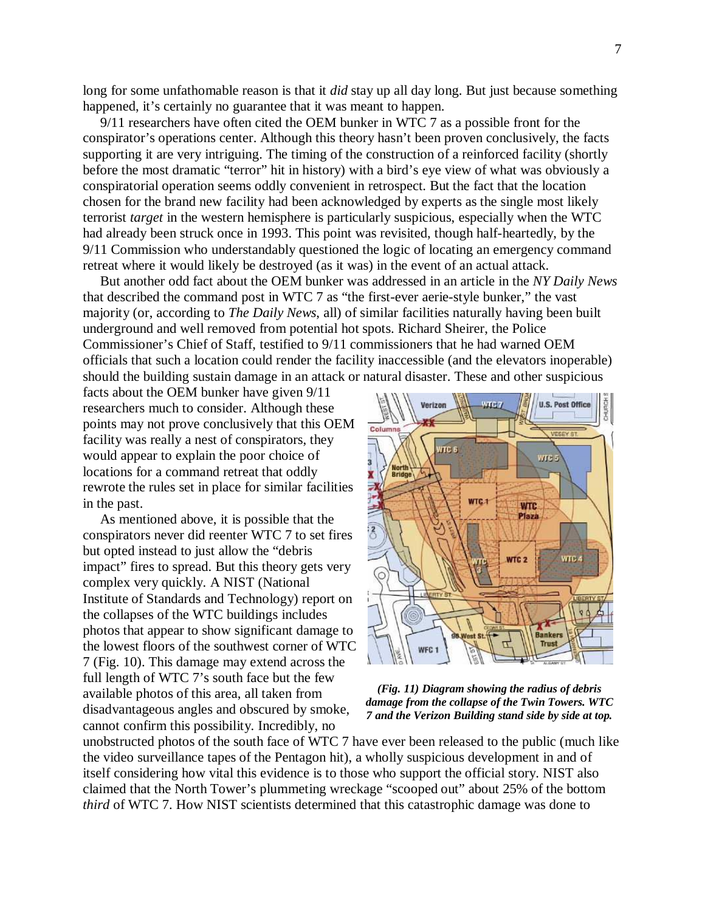long for some unfathomable reason is that it *did* stay up all day long. But just because something happened, it's certainly no guarantee that it was meant to happen.

 9/11 researchers have often cited the OEM bunker in WTC 7 as a possible front for the conspirator's operations center. Although this theory hasn't been proven conclusively, the facts supporting it are very intriguing. The timing of the construction of a reinforced facility (shortly before the most dramatic "terror" hit in history) with a bird's eye view of what was obviously a conspiratorial operation seems oddly convenient in retrospect. But the fact that the location chosen for the brand new facility had been acknowledged by experts as the single most likely terrorist *target* in the western hemisphere is particularly suspicious, especially when the WTC had already been struck once in 1993. This point was revisited, though half-heartedly, by the 9/11 Commission who understandably questioned the logic of locating an emergency command retreat where it would likely be destroyed (as it was) in the event of an actual attack.

 But another odd fact about the OEM bunker was addressed in an article in the *NY Daily News* that described the command post in WTC 7 as "the first-ever aerie-style bunker," the vast majority (or, according to *The Daily News*, all) of similar facilities naturally having been built underground and well removed from potential hot spots. Richard Sheirer, the Police Commissioner's Chief of Staff, testified to 9/11 commissioners that he had warned OEM officials that such a location could render the facility inaccessible (and the elevators inoperable) should the building sustain damage in an attack or natural disaster. These and other suspicious

facts about the OEM bunker have given 9/11 researchers much to consider. Although these points may not prove conclusively that this OEM facility was really a nest of conspirators, they would appear to explain the poor choice of locations for a command retreat that oddly rewrote the rules set in place for similar facilities in the past.

 As mentioned above, it is possible that the conspirators never did reenter WTC 7 to set fires but opted instead to just allow the "debris impact" fires to spread. But this theory gets very complex very quickly. A NIST (National Institute of Standards and Technology) report on the collapses of the WTC buildings includes photos that appear to show significant damage to the lowest floors of the southwest corner of WTC 7 (Fig. 10). This damage may extend across the full length of WTC 7's south face but the few available photos of this area, all taken from disadvantageous angles and obscured by smoke, cannot confirm this possibility. Incredibly, no



*(Fig. 11) Diagram showing the radius of debris damage from the collapse of the Twin Towers. WTC 7 and the Verizon Building stand side by side at top.*

unobstructed photos of the south face of WTC 7 have ever been released to the public (much like the video surveillance tapes of the Pentagon hit), a wholly suspicious development in and of itself considering how vital this evidence is to those who support the official story. NIST also claimed that the North Tower's plummeting wreckage "scooped out" about 25% of the bottom *third* of WTC 7. How NIST scientists determined that this catastrophic damage was done to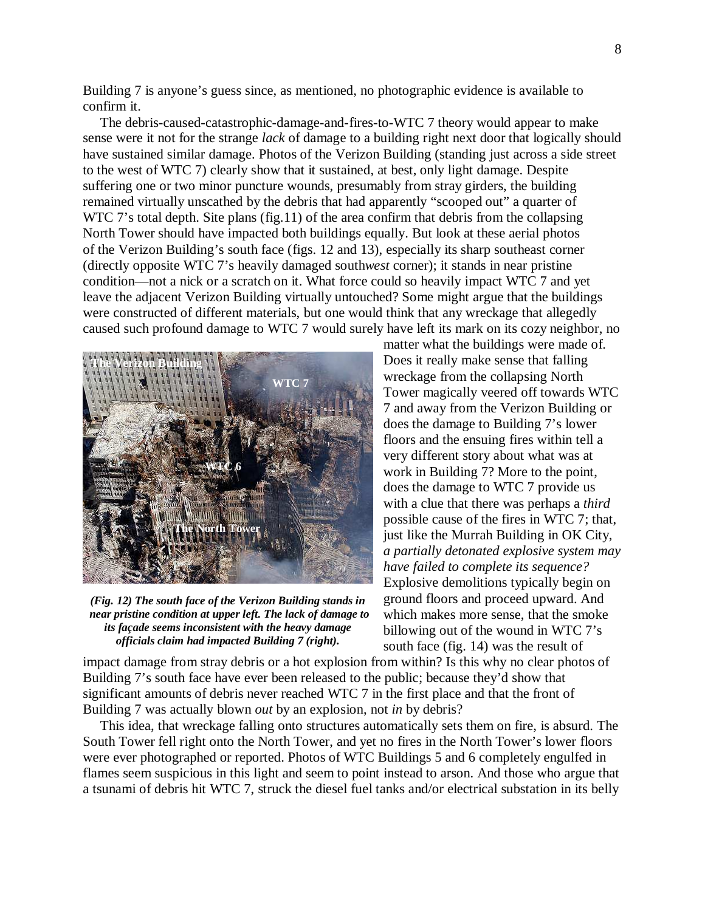Building 7 is anyone's guess since, as mentioned, no photographic evidence is available to confirm it.

 The debris-caused-catastrophic-damage-and-fires-to-WTC 7 theory would appear to make sense were it not for the strange *lack* of damage to a building right next door that logically should have sustained similar damage. Photos of the Verizon Building (standing just across a side street to the west of WTC 7) clearly show that it sustained, at best, only light damage. Despite suffering one or two minor puncture wounds, presumably from stray girders, the building remained virtually unscathed by the debris that had apparently "scooped out" a quarter of WTC 7's total depth. Site plans (fig.11) of the area confirm that debris from the collapsing North Tower should have impacted both buildings equally. But look at these aerial photos of the Verizon Building's south face (figs. 12 and 13), especially its sharp southeast corner (directly opposite WTC 7's heavily damaged south*west* corner); it stands in near pristine condition—not a nick or a scratch on it. What force could so heavily impact WTC 7 and yet leave the adjacent Verizon Building virtually untouched? Some might argue that the buildings were constructed of different materials, but one would think that any wreckage that allegedly caused such profound damage to WTC 7 would surely have left its mark on its cozy neighbor, no



*near pristine condition at upper left. The lack of damage to* which makes more sense, that the smoke *its façade seems inconsistent with the heavy damage officials claim had impacted Building 7 (right).* 

matter what the buildings were made of. Does it really make sense that falling wreckage from the collapsing North Tower magically veered off towards WTC 7 and away from the Verizon Building or does the damage to Building 7's lower floors and the ensuing fires within tell a very different story about what was at work in Building 7? More to the point, does the damage to WTC 7 provide us with a clue that there was perhaps a *third* possible cause of the fires in WTC 7; that, just like the Murrah Building in OK City, *a partially detonated explosive system may have failed to complete its sequence?* Explosive demolitions typically begin on (Fig. 12) The south face of the Verizon Building stands in ground floors and proceed upward. And billowing out of the wound in WTC 7's south face (fig. 14) was the result of

impact damage from stray debris or a hot explosion from within? Is this why no clear photos of Building 7's south face have ever been released to the public; because they'd show that significant amounts of debris never reached WTC 7 in the first place and that the front of Building 7 was actually blown *out* by an explosion, not *in* by debris?

 This idea, that wreckage falling onto structures automatically sets them on fire, is absurd. The South Tower fell right onto the North Tower, and yet no fires in the North Tower's lower floors were ever photographed or reported. Photos of WTC Buildings 5 and 6 completely engulfed in flames seem suspicious in this light and seem to point instead to arson. And those who argue that a tsunami of debris hit WTC 7, struck the diesel fuel tanks and/or electrical substation in its belly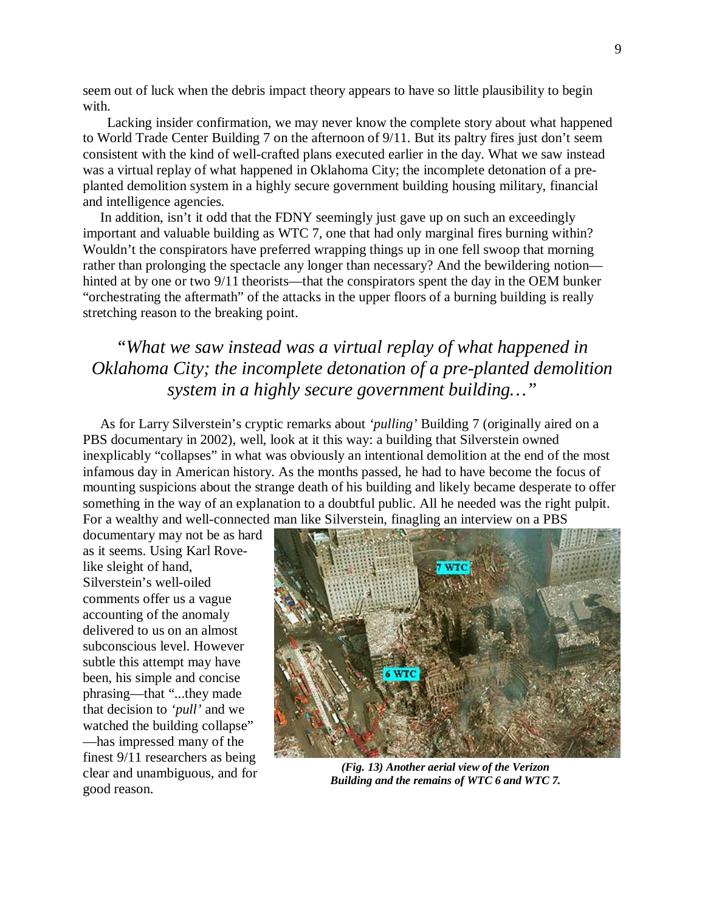seem out of luck when the debris impact theory appears to have so little plausibility to begin with.

 Lacking insider confirmation, we may never know the complete story about what happened to World Trade Center Building 7 on the afternoon of 9/11. But its paltry fires just don't seem consistent with the kind of well-crafted plans executed earlier in the day. What we saw instead was a virtual replay of what happened in Oklahoma City; the incomplete detonation of a preplanted demolition system in a highly secure government building housing military, financial and intelligence agencies*.*

 In addition, isn't it odd that the FDNY seemingly just gave up on such an exceedingly important and valuable building as WTC 7, one that had only marginal fires burning within? Wouldn't the conspirators have preferred wrapping things up in one fell swoop that morning rather than prolonging the spectacle any longer than necessary? And the bewildering notion hinted at by one or two 9/11 theorists—that the conspirators spent the day in the OEM bunker "orchestrating the aftermath" of the attacks in the upper floors of a burning building is really stretching reason to the breaking point.

## *"What we saw instead was a virtual replay of what happened in Oklahoma City; the incomplete detonation of a pre-planted demolition system in a highly secure government building…"*

 As for Larry Silverstein's cryptic remarks about *'pulling'* Building 7 (originally aired on a PBS documentary in 2002), well, look at it this way: a building that Silverstein owned inexplicably "collapses" in what was obviously an intentional demolition at the end of the most infamous day in American history. As the months passed, he had to have become the focus of mounting suspicions about the strange death of his building and likely became desperate to offer something in the way of an explanation to a doubtful public. All he needed was the right pulpit. For a wealthy and well-connected man like Silverstein, finagling an interview on a PBS

documentary may not be as hard as it seems. Using Karl Rovelike sleight of hand, Silverstein's well-oiled comments offer us a vague accounting of the anomaly delivered to us on an almost subconscious level. However subtle this attempt may have been, his simple and concise phrasing—that "...they made that decision to *'pull'* and we watched the building collapse" —has impressed many of the finest 9/11 researchers as being clear and unambiguous, and for good reason.



*(Fig. 13) Another aerial view of the Verizon Building and the remains of WTC 6 and WTC 7.*